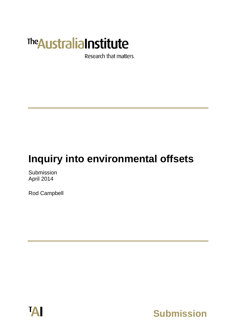# The Australia Institute

Research that matters.

## **Inquiry into environmental offsets**

Submission April 2014

Rod Campbell



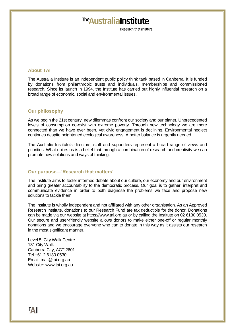### The Australia Institute

Research that matters

#### **About TAI**

The Australia Institute is an independent public policy think tank based in Canberra. It is funded by donations from philanthropic trusts and individuals, memberships and commissioned research. Since its launch in 1994, the Institute has carried out highly influential research on a broad range of economic, social and environmental issues.

#### **Our philosophy**

As we begin the 21st century, new dilemmas confront our society and our planet. Unprecedented levels of consumption co-exist with extreme poverty. Through new technology we are more connected than we have ever been, yet civic engagement is declining. Environmental neglect continues despite heightened ecological awareness. A better balance is urgently needed.

The Australia Institute's directors, staff and supporters represent a broad range of views and priorities. What unites us is a belief that through a combination of research and creativity we can promote new solutions and ways of thinking.

#### **Our purpose—'Research that matters'**

The Institute aims to foster informed debate about our culture, our economy and our environment and bring greater accountability to the democratic process. Our goal is to gather, interpret and communicate evidence in order to both diagnose the problems we face and propose new solutions to tackle them.

The Institute is wholly independent and not affiliated with any other organisation. As an Approved Research Institute, donations to our Research Fund are tax deductible for the donor. Donations can be made via our website at https://www.tai.org.au or by calling the Institute on 02 6130 0530. Our secure and user-friendly website allows donors to make either one-off or regular monthly donations and we encourage everyone who can to donate in this way as it assists our research in the most significant manner.

Level 5, City Walk Centre 131 City Walk Canberra City, ACT 2601 Tel +61 2 6130 0530 Email: mail@tai.org.au Website: www.tai.org.au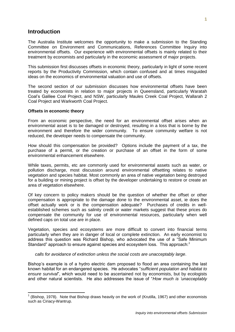#### **Introduction**

The Australia Institute welcomes the opportunity to make a submission to the Standing Committee on Environment and Communications, References Committee Inquiry into environmental offsets. Our experience with environmental offsets is mainly related to their treatment by economists and particularly in the economic assessment of major projects.

This submission first discusses offsets in economic theory, particularly in light of some recent reports by the Productivity Commission, which contain confused and at times misguided ideas on the economics of environmental valuation and use of offsets.

The second section of our submission discusses how environmental offsets have been treated by economists in relation to major projects in Queensland, particularly Waratah Coal's Galilee Coal Project, and NSW, particularly Maules Creek Coal Project, Wallarah 2 Coal Project and Warkworth Coal Project.

#### **Offsets in economic theory**

From an economic perspective, the need for an environmental offset arises when an environmental asset is to be damaged or destroyed, resulting in a loss that is borne by the environment and therefore the wider community. To ensure community welfare is not reduced, the developer needs to compensate the community.

How should this compensation be provided? Options include the payment of a tax, the purchase of a permit, or the creation or purchase of an offset in the form of some environmental enhancement elsewhere.

While taxes, permits, etc are commonly used for environmental assets such as water, or pollution discharge, most discussion around environmental offsetting relates to native vegetation and species habitat. Most commonly an area of native vegetation being destroyed for a building or mining project is offset by the developer undertaking to restore or create an area of vegetation elsewhere.

Of key concern to policy makers should be the question of whether the offset or other compensation is appropriate to the damage done to the environmental asset, ie does the offset actually work or is the compensation adequate? Purchases of credits in wellestablished schemes such as salinity credit or water markets suggest that these prices do compensate the community for use of environmental resources, particularly when well defined caps on total use are in place.

Vegetation, species and ecosystems are more difficult to convert into financial terms particularly when they are in danger of local or complete extinction. An early economist to address this question was Richard Bishop, who advocated the use of a "Safe Minimum Standard" approach to ensure against species and ecosystem loss. This approach: $1$ 

*calls for avoidance of extinction unless the social costs are unacceptably large*.

Bishop's example is of a hydro electric dam proposed to flood an area containing the last known habitat for an endangered species. He advocates "*sufficient population and habitat to ensure survival*", which would need to be ascertained not by economists, but by ecologists and other natural scientists. He also addresses the issue of "*How much is 'unacceptably* 

 $1$  (Bishop, 1978). Note that Bishop draws heavily on the work of (Krutilla, 1967) and other economists such as Ciriacy-Wantrup.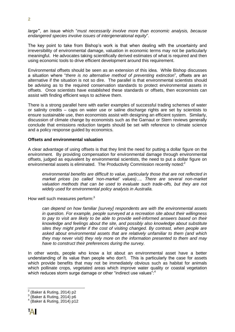*large'*", an issue which "*must necessarily involve more than economic analysis, because endangered species involve issues of intergenerational equity*".

The key point to take from Bishop's work is that when dealing with the uncertainty and irreversibility of environmental damage, valuation in economic terms may not be particularly meaningful. He advocates taking scientifically derived estimates of what is required and then using economic tools to drive efficient development around this requirement.

Environmental offsets should be seen as an extension of this idea. While Bishop discusses a situation where "*there is no alternative method of preventing extinction*", offsets are an alternative if the situation is not so dire. The parallel is that environmental scientists should be advising as to the required conservation standards to protect environmental assets in offsets. Once scientists have established these standards or offsets, then economists can assist with finding efficient ways to achieve them.

There is a strong parallel here with earlier examples of successful trading schemes of water or salinity credits – caps on water use or saline discharge rights are set by scientists to ensure sustainable use, then economists assist with designing an efficient system. Similarly, discussion of climate change by economists such as the Garnaut or Stern reviews generally conclude that emissions reduction targets should be set with reference to climate science and a policy response guided by economics.

#### **Offsets and environmental valuation**

A clear advantage of using offsets is that they limit the need for putting a dollar figure on the environment. By providing compensation for environmental damage through environmental offsets, judged as equivalent by environmental scientists, the need to put a dollar figure on environmental assets is eliminated. The Productivity Commission recently noted:<sup>2</sup>

*environmental benefits are difficult to value, particularly those that are not reflected in market prices (so called 'non-market' values)…. There are several non-market valuation methods that can be used to evaluate such trade-offs, but they are not widely used for environmental policy analysis in Australia.*

How well such measures perform:<sup>3</sup>

*can depend on how familiar [survey] respondents are with the environmental assets in question. For example, people surveyed at a recreation site about their willingness to pay to visit are likely to be able to provide well-informed answers based on their knowledge and feelings about the site, and possibly also knowledge about substitute sites they might prefer if the cost of visiting changed. By contrast, when people are asked about environmental assets that are relatively unfamiliar to them (and which they may never visit) they rely more on the information presented to them and may have to construct their preferences during the survey.*

In other words, people who know a lot about an environmental asset have a better understanding of its value than people who don't. This is particularly the case for assets which provide benefits that may not be immediately obvious such as habitat for animals which pollinate crops, vegetated areas which improve water quality or coastal vegetation which reduces storm surge damage or other "indirect use values":<sup>4</sup>

 2 (Baker & Ruting, 2014) p2

<sup>&</sup>lt;sup>3</sup> (Baker & Ruting, 2014) p6

<sup>(</sup>Baker & Ruting, 2014) p12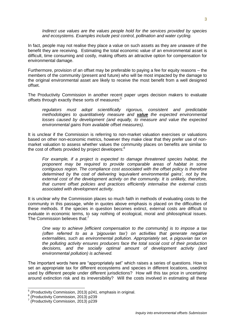*Indirect use values are the values people hold for the services provided by species and ecosystems. Examples include pest control, pollination and water cycling.*

In fact, people may not realise they place a value on such assets as they are unaware of the benefit they are receiving. Estimating the total economic value of an environmental asset is difficult, time consuming and costly, making offsets an attractive option for compensation for environmental damage.

Furthermore, provision of an offset may be preferable to paying a fee for equity reasons – the members of the community (present and future) who will be most impacted by the damage to the original environmental asset are likely to receive the most benefit from a well designed offset.

The Productivity Commission in another recent paper urges decision makers to evaluate offsets through exactly these sorts of measures:<sup>5</sup>

*regulators must adopt scientifically rigorous, consistent and predictable methodologies to quantitatively measure and value the expected environmental losses caused by development (and equally, to measure and value the expected environmental gains from available offset measures).* 

It is unclear if the Commission is referring to non-market valuation exercises or valuations based on other non-economic metrics, however they make clear that they prefer use of nonmarket valuation to assess whether values the community places on benefits are similar to the cost of offsets provided by project developers:<sup>6</sup>

*For example, if a project is expected to damage threatened species habitat, the proponent may be required to provide comparable areas of habitat in some contiguous region. The compliance cost associated with the offset policy is therefore determined by the cost of delivering 'equivalent environmental gains', not by the external cost of the development activity on the community. It is unlikely, therefore, that current offset policies and practices efficiently internalise the external costs associated with development activity.*

It is unclear why the Commission places so much faith in methods of evaluating costs to the community in this passage, while in quotes above emphasis is placed on the difficulties of these methods. If the species in question becomes extinct, external costs are difficult to evaluate in economic terms, to say nothing of ecological, moral and philosophical issues. The Commission believes that:<sup>7</sup>

*One way to achieve [efficient compensation to the community] is to impose a tax (often referred to as a 'pigouvian tax') on activities that generate negative externalities, such as environmental pollution. Appropriately set, a pigouvian tax on the polluting activity ensures producers face the total social cost of their production decisions, and the socially optimal amount of development activity (and environmental pollution) is achieved.*

The important words here are "appropriately set" which raises a series of questions. How to set an appropriate tax for different ecosystems and species in different locations, used/not used by different people under different jurisdictions? How will this tax price in uncertainty around extinction risk and its irreversibility? Will the costs involved in estimating all these

 5 (Productivity Commission, 2013) p241, emphasis in original.

<sup>6</sup> (Productivity Commission, 2013) p239

<sup>&</sup>lt;sup>7</sup> (Productivity Commission, 2013) p239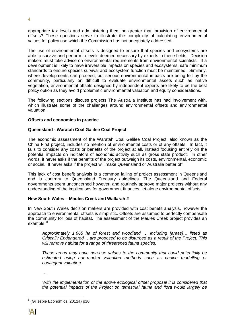appropriate tax levels and administering them be greater than provision of environmental offsets? These questions serve to illustrate the complexity of calculating environmental values for policy use which the Commission has not adequately addressed.

The use of environmental offsets is designed to ensure that species and ecosystems are able to survive and perform to levels deemed necessary by experts in these fields. Decision makers must take advice on environmental requirements from environmental scientists. If a development is likely to have irreversible impacts on species and ecosystems, safe minimum standards to ensure species survival and ecosystem function must be maintained. Similarly, where developments can proceed, but serious environmental impacts are being felt by the community, particularly on difficult to evaluate environmental assets such as native vegetation, environmental offsets designed by independent experts are likely to be the best policy option as they avoid problematic environmental valuation and equity considerations.

The following sections discuss projects The Australia Institute has had involvement with, which illustrate some of the challenges around environmental offsets and environmental valuation.

#### **Offsets and economics in practice**

#### **Queensland - Waratah Coal Galilee Coal Project**

The economic assessment of the Waratah Coal Galilee Coal Project, also known as the China First project, includes no mention of environmental costs or of any offsets. In fact, it fails to consider any costs or benefits of the project at all, instead focusing entirely on the potential impacts on indicators of economic activity such as gross state product. In other words, it never asks if the benefits of the project outweigh its costs, environmental, economic or social. It never asks if the project will make Queensland or Australia better off.

This lack of cost benefit analysis is a common failing of project assessment in Queensland and is contrary to Queensland Treasury guidelines. The Queensland and Federal governments seem unconcerned however, and routinely approve major projects without any understanding of the implications for government finances, let alone environmental offsets.

#### **New South Wales – Maules Creek and Wallarah 2**

In New South Wales decision makers are provided with cost benefit analysis, however the approach to environmental offsets is simplistic. Offsets are assumed to perfectly compensate the community for loss of habitat. The assessment of the Maules Creek project provides an example: 8

*Approximately 1,665 ha of forest and woodland … including [areas]… listed as Critically Endangered …are proposed to be disturbed as a result of the Project. This will remove habitat for a range of threatened fauna species.*

*These areas may have non-use values to the community that could potentially be estimated using non-market valuation methods such as choice modelling or contingent valuation.*

*…*

*With the implementation of the above ecological offset proposal it is considered that the potential impacts of the Project on terrestrial fauna and flora would largely be* 

 8 (Gillespie Economics, 2011a) p10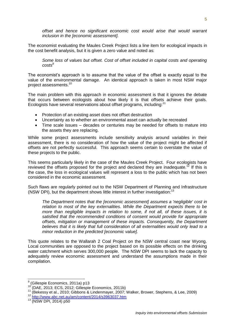*offset and hence no significant economic cost would arise that would warrant inclusion in the [economic assessment].*

The economist evaluating the Maules Creek Project lists a line item for ecological impacts in the cost benefit analysis, but it is given a zero value and noted as:

*Some loss of values but offset. Cost of offset included in capital costs and operating costs<sup>9</sup>*

The economist's approach is to assume that the value of the offset is exactly equal to the value of the environmental damage. An identical approach is taken in most NSW major project assessments.<sup>10</sup>

The main problem with this approach in economic assessment is that it ignores the debate that occurs between ecologists about how likely it is that offsets achieve their goals. Ecologists have several reservations about offset programs, including:<sup>11</sup>

- Protection of an existing asset does not offset destruction
- Uncertainty as to whether an environmental asset can actually be recreated
- Time scale issues decades or centuries may be needed for offsets to mature into the assets they are replacing.

While some project assessments include sensitivity analysis around variables in their assessment, there is no consideration of how the value of the project might be affected if offsets are not perfectly successful. This approach seems certain to overstate the value of these projects to the public.

This seems particularly likely in the case of the Maules Creek Project. Four ecologists have reviewed the offsets proposed for the project and declared they are inadequate.<sup>12</sup> If this is the case, the loss in ecological values will represent a loss to the public which has not been considered in the economic assessment.

Such flaws are regularly pointed out to the NSW Department of Planning and Infrastructure (NSW DPI), but the department shows little interest in further investigation:<sup>13</sup>

*The Department notes that the [economic assessment] assumes a 'negligible' cost in relation to most of the key externalities. While the Department expects there to be more than negligible impacts in relation to some, if not all, of these issues, it is satisfied that the recommended conditions of consent would provide for appropriate offsets, mitigation or management of these impacts. Consequently, the Department believes that it is likely that full consideration of all externalities would only lead to a minor reduction in the predicted [economic value].*

This quote relates to the Wallarah 2 Coal Project on the NSW central coast near Wyong. Local communities are opposed to the project based on its possible effects on the drinking water catchment which serves 300,000 people. The NSW DPI seems to lack the capacity to adequately review economic assessment and understand the assumptions made in their compilation.

<sup>9</sup>  $\frac{9}{10}$  (Gillespie Economics, 2011a) p13

<sup>10</sup> (DAE, 2013; ECS, 2012; Gillespie Economics, 2011b)

<sup>11</sup> (Bekessy et al., 2010; Gibbons & Lindenmayer, 2007; Walker, Brower, Stephens, & Lee, 2009)

<sup>12</sup> <http://www.abc.net.au/am/content/2014/s3963037.htm>

<sup>13</sup> (NSW DPI, 2014) p50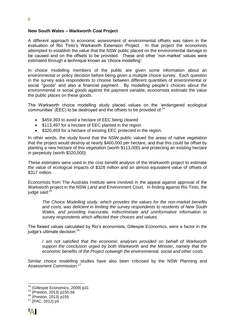#### **New South Wales – Warkworth Coal Project**

A different approach to economic assessment of environmental offsets was taken in the evaluation of Rio Tinto's Warkworth Extension Project. In that project the economists attempted to establish the value that the NSW public placed on the environmental damage to be caused and on the offsets to be provided. These and other 'non-market' values were estimated through a technique known as 'choice modelling'.

In choice modelling members of the public are given some information about an environmental or policy decision before being given a multiple choice survey. Each question in the survey asks respondents to choose between different quantities of environmental or social "goods" and also a financial payment. By modelling people's choices about the environmental or social goods against the payment variable, economists estimate the value the public places on these goods.

The Warkworth choice modelling study placed values on the 'endangered ecological communities' (EEC) to be destroyed and the offsets to be provided of:<sup>14</sup>

- \$459,393 to avoid a hectare of EEC being cleared
- \$113,497 for a hectare of EEC planted in the region
- \$320,459 for a hectare of existing EEC protected in the region.

In other words, the study found that the NSW public valued the areas of native vegetation that the project would destroy at nearly \$460,000 per hectare, and that this could be offset by planting a new hectare of this vegetation (worth \$113,000) and protecting an existing hectare in perpetuity (worth \$320,000).

These estimates were used in the cost benefit analysis of the Warkworth project to estimate the value of ecological impacts of \$328 million and an almost equivalent value of offsets of \$317 million.

Economists from The Australia Institute were involved in the appeal against approval of the Warkworth project in the NSW Land and Environment Court. In finding against Rio Tinto, the judge said:<sup>15</sup>

*The Choice Modelling study, which provides the values for the non-market benefits and costs, was deficient in limiting the survey respondents to residents of New South Wales, and providing inaccurate, indiscriminate and uninformative information to survey respondents which affected their choices and values.*

The flawed values calculated by Rio's economists, Gillespie Economics, were a factor in the judge's ultimate decision:<sup>16</sup>

*I am not satisfied that the economic analyses provided on behalf of Warkworth support the conclusion urged by both Warkworth and the Minister, namely that the economic benefits of the Project outweigh the environmental, social and other costs.*

Similar choice modelling studies have also been criticised by the NSW Planning and Assessment Commission:<sup>1</sup>

 $\overline{a}$ 

 $14$  (Gillespie Economics, 2009) p31

<sup>15</sup> (Preston, 2013) p155-56

 $16$  (Preston, 2013) p155

<sup>17</sup> (PAC, 2012) p5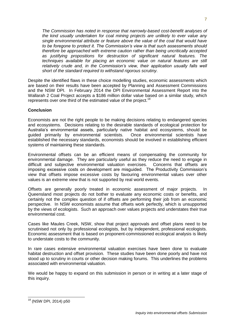*The Commission has noted in response that narrowly-based cost-benefit analyses of the kind usually undertaken for coal mining projects are unlikely to ever value any single environmental attribute or feature above the value of the coal that would have to be foregone to protect it. The Commission's view is that such assessments should therefore be approached with extreme caution rather than being uncritically accepted as justifying propositions for destruction of significant natural features. The techniques available for placing an economic value on natural features are still*  relatively crude and, in the Commission's view, their application usually falls well *short of the standard required to withstand rigorous scrutiny.*

Despite the identified flaws in these choice modelling studies, economic assessments which are based on their results have been accepted by Planning and Assessment Commissions and the NSW DPI. In February 2014 the DPI Environmental Assessment Report into the Wallarah 2 Coal Project accepts a \$186 million dollar value based on a similar study, which represents over one third of the estimated value of the project.<sup>18</sup>

#### **Conclusion**

Economists are not the right people to be making decisions relating to endangered species and ecosystems. Decisions relating to the desirable standards of ecological protection for Australia's environmental assets, particularly native habitat and ecosystems, should be guided primarily by environmental scientists. Once environmental scientists have established the necessary standards, economists should be involved in establishing efficient systems of maintaining these standards.

Environmental offsets can be an efficient means of compensating the community for environmental damage. They are particularly useful as they reduce the need to engage in difficult and subjective environmental valuation exercises. Concerns that offsets are imposing excessive costs on development are misguided. The Productivity Commission's view that offsets impose excessive costs by favouring environmental values over other values is an extreme view that is not supported by real world events.

Offsets are generally poorly treated in economic assessment of major projects. In Queensland most projects do not bother to evaluate any economic costs or benefits, and certainly not the complex question of if offsets are performing their job from an economic perspective. In NSW economists assume that offsets work perfectly, which is unsupported by the views of ecologists. Such an approach over values projects and understates their true environmental cost.

Cases like Maules Creek, NSW, show that project approvals and offset plans need to be scrutinised not only by professional ecologists, but by independent, professional ecologists. Economic assessment that is based on proponent-commissioned ecological analysis is likely to understate costs to the community.

In rare cases extensive environmental valuation exercises have been done to evaluate habitat destruction and offset provision. These studies have been done poorly and have not stood up to scrutiny in courts or other decision making forums. This underlines the problems associated with environmental valuation.

We would be happy to expand on this submission in person or in writing at a later stage of this inquiry.

 <sup>18</sup> (NSW DPI, 2014) p50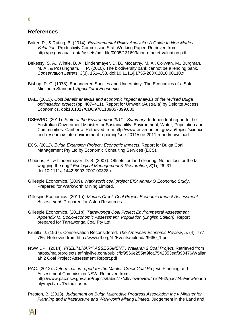#### **References**

- Baker, R., & Ruting, B. (2014). *Environmental Policy Analysis : A Guide to Non-Market Valuation*. Productivity Commission Staff Working Paper. Retrieved from http://pc.gov.au/\_\_data/assets/pdf\_file/0005/131693/non-market-valuation.pdf
- Bekessy, S. A., Wintle, B. A., Lindenmayer, D. B., Mccarthy, M. A., Colyvan, M., Burgman, M. A., & Possingham, H. P. (2010). The biodiversity bank cannot be a lending bank. *Conservation Letters*, *3*(3), 151–158. doi:10.1111/j.1755-263X.2010.00110.x
- Bishop, R. C. (1978). Endangered Species and Uncertainty: The Economics of a Safe Minimum Standard. *Agricultural Economics*.
- DAE. (2013). *Cost benefit analysis and economic impact analysis of the revised Bulga optimisation project* (pp. 407–411). Report for Umwelt (Australia) by Deloitte Access Economics. doi:10.1017/CBO9781139057899.030
- DSEWPC. (2011). *State of the Environment 2011 - Summary*. Independent report to the Australian Government Minister for Sustainability, Environment, Water, Population and Communities. Canberra. Retrieved from http://www.environment.gov.au/topics/scienceand-research/state-environment-reporting/soe-2011/soe-2011-report/download
- ECS. (2012). *Bulga Extension Project : Economic Impacts*. Report for Bulga Coal Management Pty Ltd by Economic Consulting Services (ECS).
- Gibbons, P., & Lindenmayer, D. B. (2007). Offsets for land clearing: No net loss or the tail wagging the dog? *Ecological Management & Restoration*, *8*(1), 26–31. doi:10.1111/j.1442-8903.2007.00328.x
- Gillespie Economics. (2009). *Warkworth coal project EIS: Annex O Economic Study*. Prepared for Warkworth Mining Limited.
- Gillespie Economics. (2011a). *Maules Creek Coal Project Economic Impact Assessment*. *Assessment*. Prepared for Aston Resources.
- Gillespie Economics. (2011b). *Tarrawonga Coal Project Environmental Assessment, Appendix M, Socio-economic Assessment*. *Population (English Edition)*. Report prepared for Tarrawonga Coal Pty Ltd.
- Krutilla, J. (1967). Conservation Reconsidered. *The American Economic Review*, *57*(4), 777– 786. Retrieved from http://www.rff.org/rff/Events/upload/29660\_1.pdf
- NSW DPI. (2014). *PRELIMINARY ASSESSMENT : Wallarah 2 Coal Project*. Retrieved from https://majorprojects.affinitylive.com/public/bf9566e255af9fca7542353eaf893476/Wallar ah 2 Coal Project Assessment Report.pdf
- PAC. (2012). *Determination report for the Maules Creek Coal Project*. Planning and Assessment Commission NSW. Retrieved from http://www.pac.nsw.gov.au/Projects/tabid/77/ctl/viewreview/mid/462/pac/245/view/reado nly/myctl/rev/Default.aspx
- Preston, B. (2013). *Judgement on Bulga Milbrodale Progress Association Inc v Minister for Planning and Infrastructure and Warkworth Mining Limited*. Judgement in the Land and